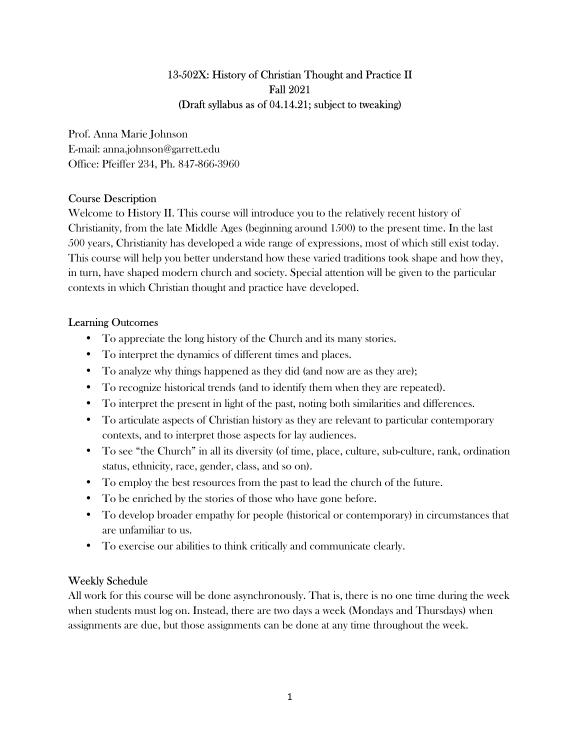# 13-502X: History of Christian Thought and Practice II Fall 2021 (Draft syllabus as of 04.14.21; subject to tweaking)

Prof. Anna Marie Johnson E-mail: anna.johnson@garrett.edu Office: Pfeiffer 234, Ph. 847-866-3960

# Course Description

Welcome to History II. This course will introduce you to the relatively recent history of Christianity, from the late Middle Ages (beginning around 1500) to the present time. In the last 500 years, Christianity has developed a wide range of expressions, most of which still exist today. This course will help you better understand how these varied traditions took shape and how they, in turn, have shaped modern church and society. Special attention will be given to the particular contexts in which Christian thought and practice have developed.

# Learning Outcomes

- To appreciate the long history of the Church and its many stories.
- To interpret the dynamics of different times and places.
- To analyze why things happened as they did (and now are as they are);
- To recognize historical trends (and to identify them when they are repeated).
- To interpret the present in light of the past, noting both similarities and differences.
- To articulate aspects of Christian history as they are relevant to particular contemporary contexts, and to interpret those aspects for lay audiences.
- To see "the Church" in all its diversity (of time, place, culture, sub-culture, rank, ordination status, ethnicity, race, gender, class, and so on).
- To employ the best resources from the past to lead the church of the future.
- To be enriched by the stories of those who have gone before.
- To develop broader empathy for people (historical or contemporary) in circumstances that are unfamiliar to us.
- To exercise our abilities to think critically and communicate clearly.

# Weekly Schedule

All work for this course will be done asynchronously. That is, there is no one time during the week when students must log on. Instead, there are two days a week (Mondays and Thursdays) when assignments are due, but those assignments can be done at any time throughout the week.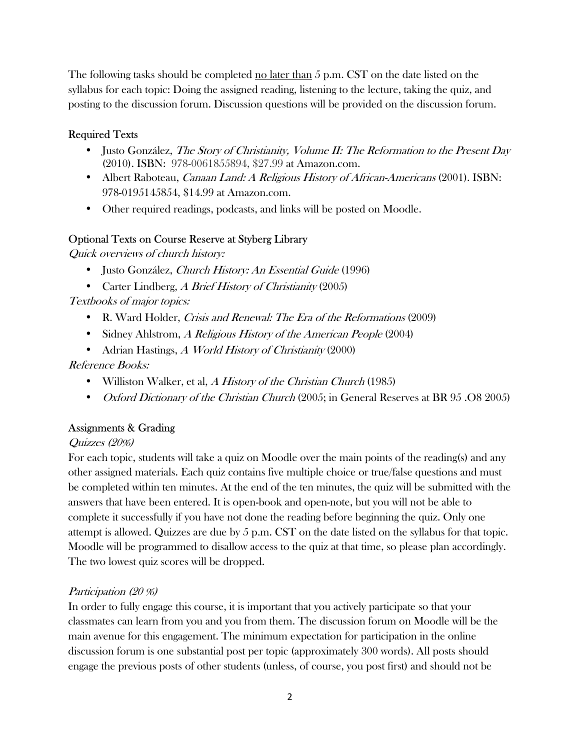The following tasks should be completed no later than 5 p.m. CST on the date listed on the syllabus for each topic: Doing the assigned reading, listening to the lecture, taking the quiz, and posting to the discussion forum. Discussion questions will be provided on the discussion forum.

# Required Texts

- Justo González, The Story of Christianity, Volume II: The Reformation to the Present Day (2010). ISBN: 978-0061855894, \$27.99 at Amazon.com.
- Albert Raboteau, *Canaan Land: A Religious History of African-Americans* (2001). ISBN: 978-0195145854, \$14.99 at Amazon.com.
- Other required readings, podcasts, and links will be posted on Moodle.

# Optional Texts on Course Reserve at Styberg Library

Quick overviews of church history:

- Justo González, Church History: An Essential Guide (1996)
- Carter Lindberg, A Brief History of Christianity (2005)

Textbooks of major topics:

- R. Ward Holder, Crisis and Renewal: The Era of the Reformations (2009)
- Sidney Ahlstrom, A Religious History of the American People (2004)
- Adrian Hastings, A World History of Christianity (2000)

Reference Books:

- Williston Walker, et al, A History of the Christian Church  $(1985)$
- *Oxford Dictionary of the Christian Church* (2005; in General Reserves at BR 95 .08 2005)

# Assignments & Grading

## Quizzes (20%)

For each topic, students will take a quiz on Moodle over the main points of the reading(s) and any other assigned materials. Each quiz contains five multiple choice or true/false questions and must be completed within ten minutes. At the end of the ten minutes, the quiz will be submitted with the answers that have been entered. It is open-book and open-note, but you will not be able to complete it successfully if you have not done the reading before beginning the quiz. Only one attempt is allowed. Quizzes are due by 5 p.m. CST on the date listed on the syllabus for that topic. Moodle will be programmed to disallow access to the quiz at that time, so please plan accordingly. The two lowest quiz scores will be dropped.

## Participation (20 %)

In order to fully engage this course, it is important that you actively participate so that your classmates can learn from you and you from them. The discussion forum on Moodle will be the main avenue for this engagement. The minimum expectation for participation in the online discussion forum is one substantial post per topic (approximately 300 words). All posts should engage the previous posts of other students (unless, of course, you post first) and should not be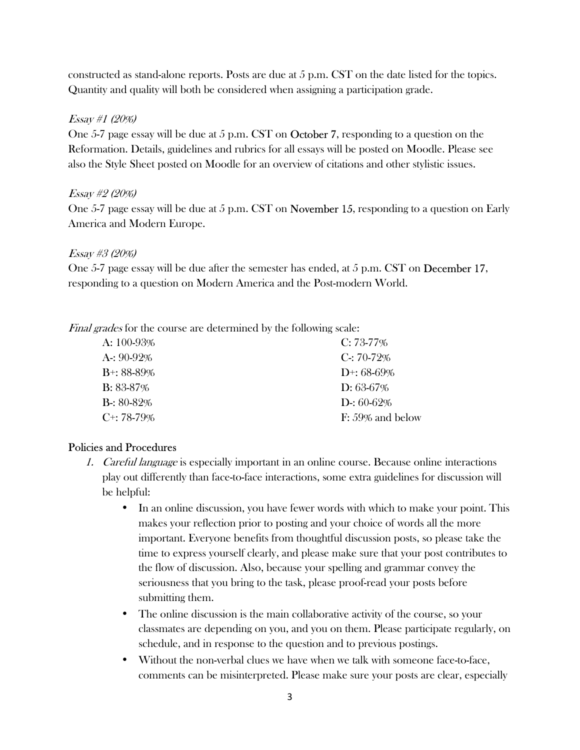constructed as stand-alone reports. Posts are due at 5 p.m. CST on the date listed for the topics. Quantity and quality will both be considered when assigning a participation grade.

### Essay #1 (20%)

One 5-7 page essay will be due at 5 p.m. CST on October 7, responding to a question on the Reformation. Details, guidelines and rubrics for all essays will be posted on Moodle. Please see also the Style Sheet posted on Moodle for an overview of citations and other stylistic issues.

## Essay #2 (20%)

One 5-7 page essay will be due at 5 p.m. CST on November 15, responding to a question on Early America and Modern Europe.

#### Essay #3 (20%)

One 5-7 page essay will be due after the semester has ended, at 5 p.m. CST on December 17, responding to a question on Modern America and the Post-modern World.

Final grades for the course are determined by the following scale:

| A: $100-93\%$    | $C: 73-77\%$        |
|------------------|---------------------|
| A: $90-92\%$     | $C: 70-72\%$        |
| $B^{+}$ : 88-89% | D+: $68-69\%$       |
| $B: 83-87\%$     | $D: 63-67\%$        |
| $B: 80-82\%$     | $D: 60-62\%$        |
| $C^{+}$ : 78-79% | $F: 59\%$ and below |

## Policies and Procedures

- 1. Careful language is especially important in an online course. Because online interactions play out differently than face-to-face interactions, some extra guidelines for discussion will be helpful:
	- In an online discussion, you have fewer words with which to make your point. This makes your reflection prior to posting and your choice of words all the more important. Everyone benefits from thoughtful discussion posts, so please take the time to express yourself clearly, and please make sure that your post contributes to the flow of discussion. Also, because your spelling and grammar convey the seriousness that you bring to the task, please proof-read your posts before submitting them.
	- The online discussion is the main collaborative activity of the course, so your classmates are depending on you, and you on them. Please participate regularly, on schedule, and in response to the question and to previous postings.
	- Without the non-verbal clues we have when we talk with someone face-to-face, comments can be misinterpreted. Please make sure your posts are clear, especially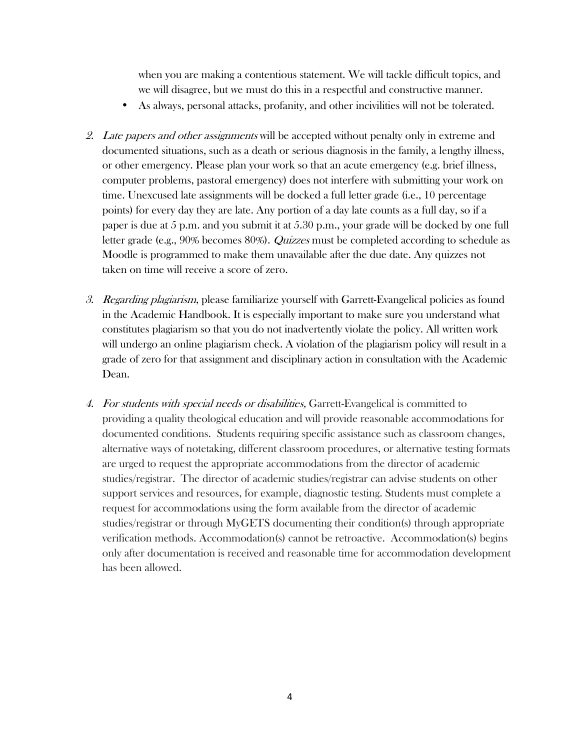when you are making a contentious statement. We will tackle difficult topics, and we will disagree, but we must do this in a respectful and constructive manner.

- As always, personal attacks, profanity, and other incivilities will not be tolerated.
- 2. Late papers and other assignments will be accepted without penalty only in extreme and documented situations, such as a death or serious diagnosis in the family, a lengthy illness, or other emergency. Please plan your work so that an acute emergency (e.g. brief illness, computer problems, pastoral emergency) does not interfere with submitting your work on time. Unexcused late assignments will be docked a full letter grade (i.e., 10 percentage points) for every day they are late. Any portion of a day late counts as a full day, so if a paper is due at 5 p.m. and you submit it at 5.30 p.m., your grade will be docked by one full letter grade (e.g., 90% becomes 80%). *Quizzes* must be completed according to schedule as Moodle is programmed to make them unavailable after the due date. Any quizzes not taken on time will receive a score of zero.
- 3. Regarding plagiarism, please familiarize yourself with Garrett-Evangelical policies as found in the Academic Handbook. It is especially important to make sure you understand what constitutes plagiarism so that you do not inadvertently violate the policy. All written work will undergo an online plagiarism check. A violation of the plagiarism policy will result in a grade of zero for that assignment and disciplinary action in consultation with the Academic Dean.
- 4. For students with special needs or disabilities, Garrett-Evangelical is committed to providing a quality theological education and will provide reasonable accommodations for documented conditions. Students requiring specific assistance such as classroom changes, alternative ways of notetaking, different classroom procedures, or alternative testing formats are urged to request the appropriate accommodations from the director of academic studies/registrar. The director of academic studies/registrar can advise students on other support services and resources, for example, diagnostic testing. Students must complete a request for accommodations using the form available from the director of academic studies/registrar or through MyGETS documenting their condition(s) through appropriate verification methods. Accommodation(s) cannot be retroactive. Accommodation(s) begins only after documentation is received and reasonable time for accommodation development has been allowed.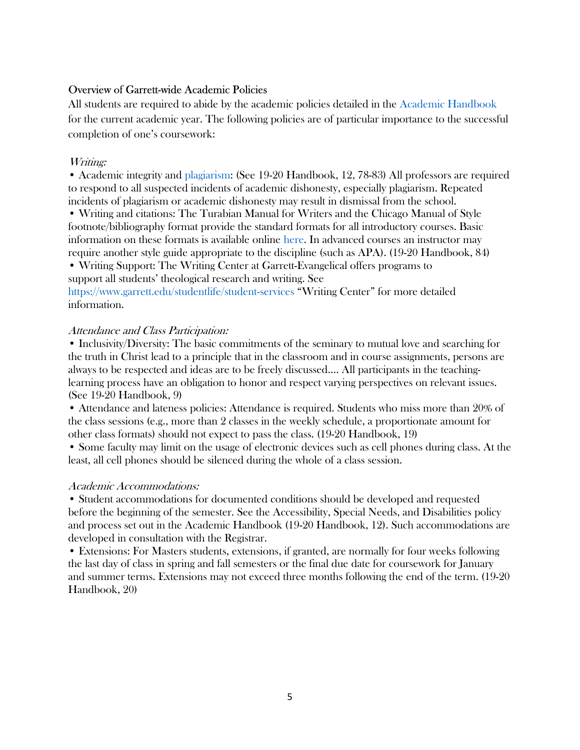### Overview of Garrett-wide Academic Policies

All students are required to abide by the academic policies detailed in the Academic Handbook for the current academic year. The following policies are of particular importance to the successful completion of one's coursework:

#### Writing:

• Academic integrity and plagiarism: (See 19-20 Handbook, 12, 78-83) All professors are required to respond to all suspected incidents of academic dishonesty, especially plagiarism. Repeated incidents of plagiarism or academic dishonesty may result in dismissal from the school.

• Writing and citations: The Turabian Manual for Writers and the Chicago Manual of Style footnote/bibliography format provide the standard formats for all introductory courses. Basic information on these formats is available online here. In advanced courses an instructor may require another style guide appropriate to the discipline (such as APA). (19-20 Handbook, 84) • Writing Support: The Writing Center at Garrett-Evangelical offers programs to

support all students' theological research and writing. See

https://www.garrett.edu/studentlife/student-services "Writing Center" for more detailed information.

#### Attendance and Class Participation:

• Inclusivity/Diversity: The basic commitments of the seminary to mutual love and searching for the truth in Christ lead to a principle that in the classroom and in course assignments, persons are always to be respected and ideas are to be freely discussed…. All participants in the teachinglearning process have an obligation to honor and respect varying perspectives on relevant issues. (See 19-20 Handbook, 9)

• Attendance and lateness policies: Attendance is required. Students who miss more than 20% of the class sessions (e.g., more than 2 classes in the weekly schedule, a proportionate amount for other class formats) should not expect to pass the class. (19-20 Handbook, 19)

• Some faculty may limit on the usage of electronic devices such as cell phones during class. At the least, all cell phones should be silenced during the whole of a class session.

#### Academic Accommodations:

• Student accommodations for documented conditions should be developed and requested before the beginning of the semester. See the Accessibility, Special Needs, and Disabilities policy and process set out in the Academic Handbook (19-20 Handbook, 12). Such accommodations are developed in consultation with the Registrar.

• Extensions: For Masters students, extensions, if granted, are normally for four weeks following the last day of class in spring and fall semesters or the final due date for coursework for January and summer terms. Extensions may not exceed three months following the end of the term. (19-20 Handbook, 20)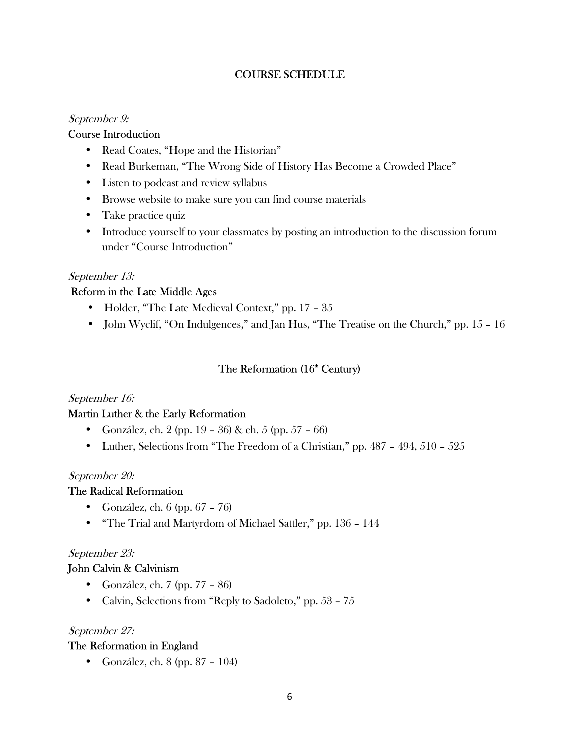# COURSE SCHEDULE

## September 9:

# Course Introduction

- Read Coates, "Hope and the Historian"
- Read Burkeman, "The Wrong Side of History Has Become a Crowded Place"
- Listen to podcast and review syllabus
- Browse website to make sure you can find course materials
- Take practice quiz
- Introduce yourself to your classmates by posting an introduction to the discussion forum under "Course Introduction"

## September 13:

# Reform in the Late Middle Ages

- Holder, "The Late Medieval Context," pp. 17 35
- John Wyclif, "On Indulgences," and Jan Hus, "The Treatise on the Church," pp. 15 16

# The Reformation (16<sup>th</sup> Century)

## September 16:

## Martin Luther & the Early Reformation

- González, ch. 2 (pp. 19 36) & ch. 5 (pp. 57 66)
- Luther, Selections from "The Freedom of a Christian," pp.  $487 494$ ,  $510 525$

## September 20:

## The Radical Reformation

- González, ch. 6 (pp. 67 76)
- "The Trial and Martyrdom of Michael Sattler," pp. 136 144

## September 23:

# John Calvin & Calvinism

- González, ch. 7 (pp. 77 86)
- Calvin, Selections from "Reply to Sadoleto," pp. 53 75

## September 27:

# The Reformation in England

• González, ch. 8 (pp. 87 – 104)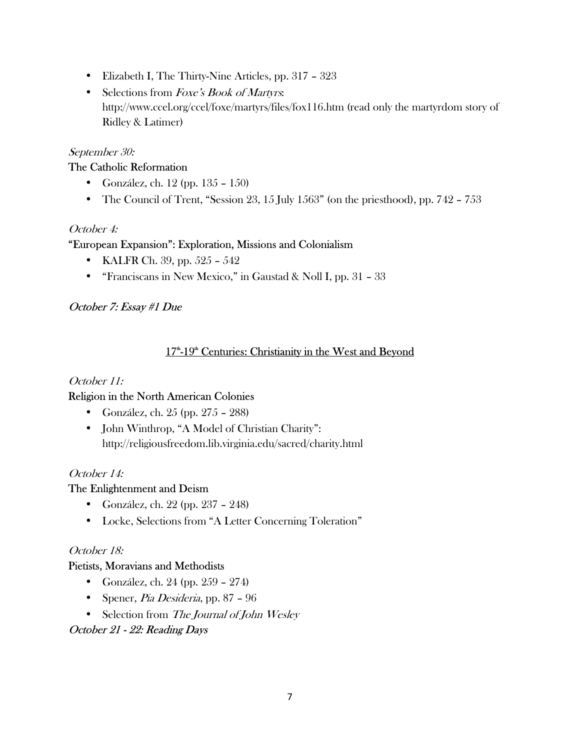- Elizabeth I, The Thirty-Nine Articles, pp. 317 323
- Selections from Foxe's Book of Martyrs. http://www.ccel.org/ccel/foxe/martyrs/files/fox116.htm (read only the martyrdom story of Ridley & Latimer)

#### September 30:

#### The Catholic Reformation

- González, ch. 12 (pp. 135 150)
- The Council of Trent, "Session 23, 15 July 1563" (on the priesthood), pp. 742 753

#### October 4:

#### "European Expansion": Exploration, Missions and Colonialism

- KALFR Ch. 39, pp. 525 542
- "Franciscans in New Mexico," in Gaustad & Noll I, pp. 31 33

## October 7: Essay #1 Due

## 17<sup>th</sup>-19<sup>th</sup> Centuries: Christianity in the West and Beyond

#### October 11:

## Religion in the North American Colonies

- González, ch. 25 (pp. 275 288)
- John Winthrop, "A Model of Christian Charity": http://religiousfreedom.lib.virginia.edu/sacred/charity.html

#### October 14:

#### The Enlightenment and Deism

- González, ch. 22 (pp. 237 248)
- Locke, Selections from "A Letter Concerning Toleration"

#### October 18:

#### Pietists, Moravians and Methodists

- González, ch. 24 (pp. 259 274)
- Spener, Pia Desideria, pp. 87 96
- Selection from The Journal of John Wesley

## October 21 - 22: Reading Days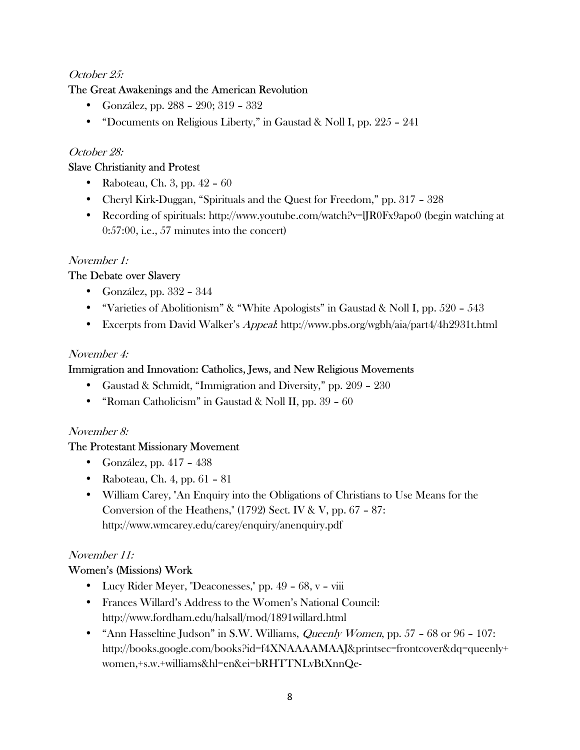# October 25:

# The Great Awakenings and the American Revolution

- González, pp. 288 290; 319 332
- "Documents on Religious Liberty," in Gaustad & Noll I, pp. 225 241

# October 28:

## Slave Christianity and Protest

- Raboteau, Ch. 3, pp.  $42 60$
- Cheryl Kirk-Duggan, "Spirituals and the Quest for Freedom," pp. 317 328
- Recording of spirituals: http://www.youtube.com/watch?v=lJR0Fx9apo0 (begin watching at 0:57:00, i.e., 57 minutes into the concert)

# November 1:

# The Debate over Slavery

- González, pp.  $332 344$
- "Varieties of Abolitionism" & "White Apologists" in Gaustad & Noll I, pp.  $520 543$
- Excerpts from David Walker's *Appeal*: http://www.pbs.org/wgbh/aia/part4/4h2931t.html

## November 4:

# Immigration and Innovation: Catholics, Jews, and New Religious Movements

- Gaustad & Schmidt, "Immigration and Diversity," pp. 209 230
- "Roman Catholicism" in Gaustad & Noll II, pp. 39 60

## November 8:

## The Protestant Missionary Movement

- González, pp. 417 438
- Raboteau, Ch. 4, pp.  $61 81$
- William Carey, "An Enquiry into the Obligations of Christians to Use Means for the Conversion of the Heathens," (1792) Sect. IV & V, pp. 67 – 87: http://www.wmcarey.edu/carey/enquiry/anenquiry.pdf

# November 11:

# Women's (Missions) Work

- Lucy Rider Meyer, "Deaconesses," pp. 49 68, v viii
- Frances Willard's Address to the Women's National Council: http://www.fordham.edu/halsall/mod/1891willard.html
- "Ann Hasseltine Judson" in S.W. Williams, *Queenly Women*, pp.  $57 68$  or  $96 107$ : http://books.google.com/books?id=f4XNAAAAMAAJ&printsec=frontcover&dq=queenly+ women,+s.w.+williams&hl=en&ei=bRHTTNLvBtXnnQe-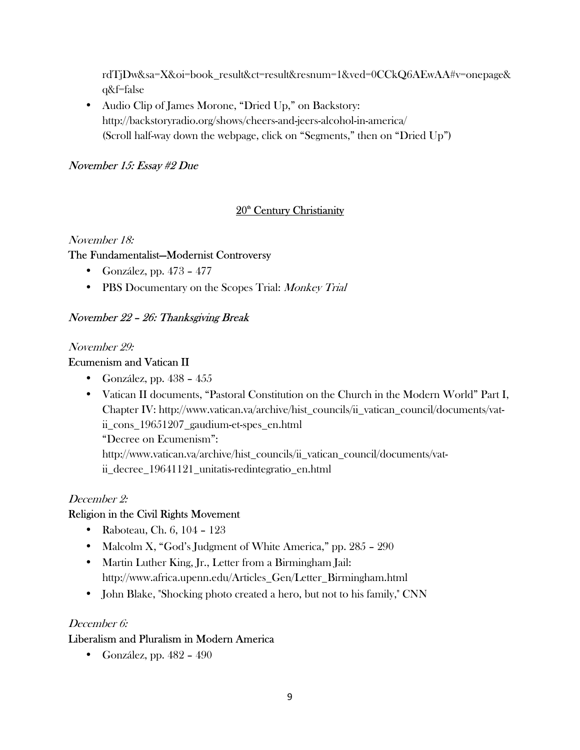rdTjDw&sa=X&oi=book\_result&ct=result&resnum=1&ved=0CCkQ6AEwAA#v=onepage& q&f=false

• Audio Clip of James Morone, "Dried Up," on Backstory: http://backstoryradio.org/shows/cheers-and-jeers-alcohol-in-america/ (Scroll half-way down the webpage, click on "Segments," then on "Dried Up")

# November 15: Essay #2 Due

# 20<sup>th</sup> Century Christianity

#### November 18:

## The Fundamentalist—Modernist Controversy

- González, pp. 473 477
- PBS Documentary on the Scopes Trial: Monkey Trial

## November 22 – 26: Thanksgiving Break

#### November 29:

## Ecumenism and Vatican II

- González, pp.  $438 455$
- Vatican II documents, "Pastoral Constitution on the Church in the Modern World" Part I, Chapter IV: http://www.vatican.va/archive/hist\_councils/ii\_vatican\_council/documents/vatii\_cons\_19651207\_gaudium-et-spes\_en.html "Decree on Ecumenism":

http://www.vatican.va/archive/hist\_councils/ii\_vatican\_council/documents/vatii decree 19641121 unitatis-redintegratio en.html

## December 2:

## Religion in the Civil Rights Movement

- Raboteau, Ch. 6, 104 123
- Malcolm X, "God's Judgment of White America," pp. 285 290
- Martin Luther King, Jr., Letter from a Birmingham Jail: http://www.africa.upenn.edu/Articles\_Gen/Letter\_Birmingham.html
- John Blake, "Shocking photo created a hero, but not to his family," CNN

#### December 6:

## Liberalism and Pluralism in Modern America

• González, pp. 482 – 490